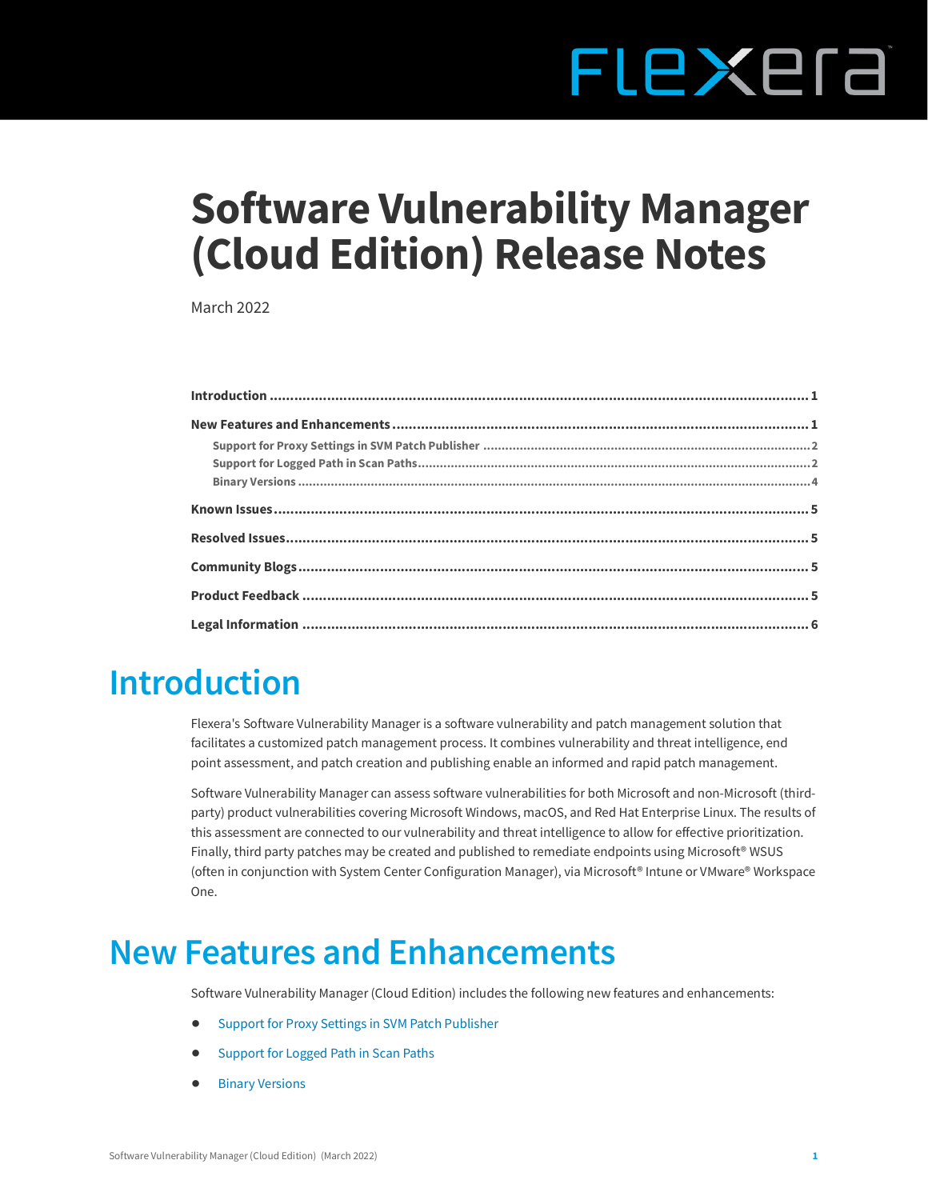# FLEXEra

# **Software Vulnerability Manager (Cloud Edition) Release Notes**

March 2022

#### <span id="page-0-0"></span>**Introduction**

Flexera's Software Vulnerability Manager is a software vulnerability and patch management solution that facilitates a customized patch management process. It combines vulnerability and threat intelligence, end point assessment, and patch creation and publishing enable an informed and rapid patch management.

Software Vulnerability Manager can assess software vulnerabilities for both Microsoft and non-Microsoft (thirdparty) product vulnerabilities covering Microsoft Windows, macOS, and Red Hat Enterprise Linux. The results of this assessment are connected to our vulnerability and threat intelligence to allow for effective prioritization. Finally, third party patches may be created and published to remediate endpoints using Microsoft<sup>®</sup> WSUS (often in conjunction with System Center Configuration Manager), via Microsoft® Intune or VMware® Workspace One.

### <span id="page-0-1"></span>**New Features and Enhancements**

Software Vulnerability Manager (Cloud Edition) includes the following new features and enhancements:

- **•** [Support for Proxy Settings in SVM Patch Publisher](#page-1-0)
- **•** [Support for Logged Path in Scan Paths](#page-1-1)
- **•** [Binary Versions](#page-3-0)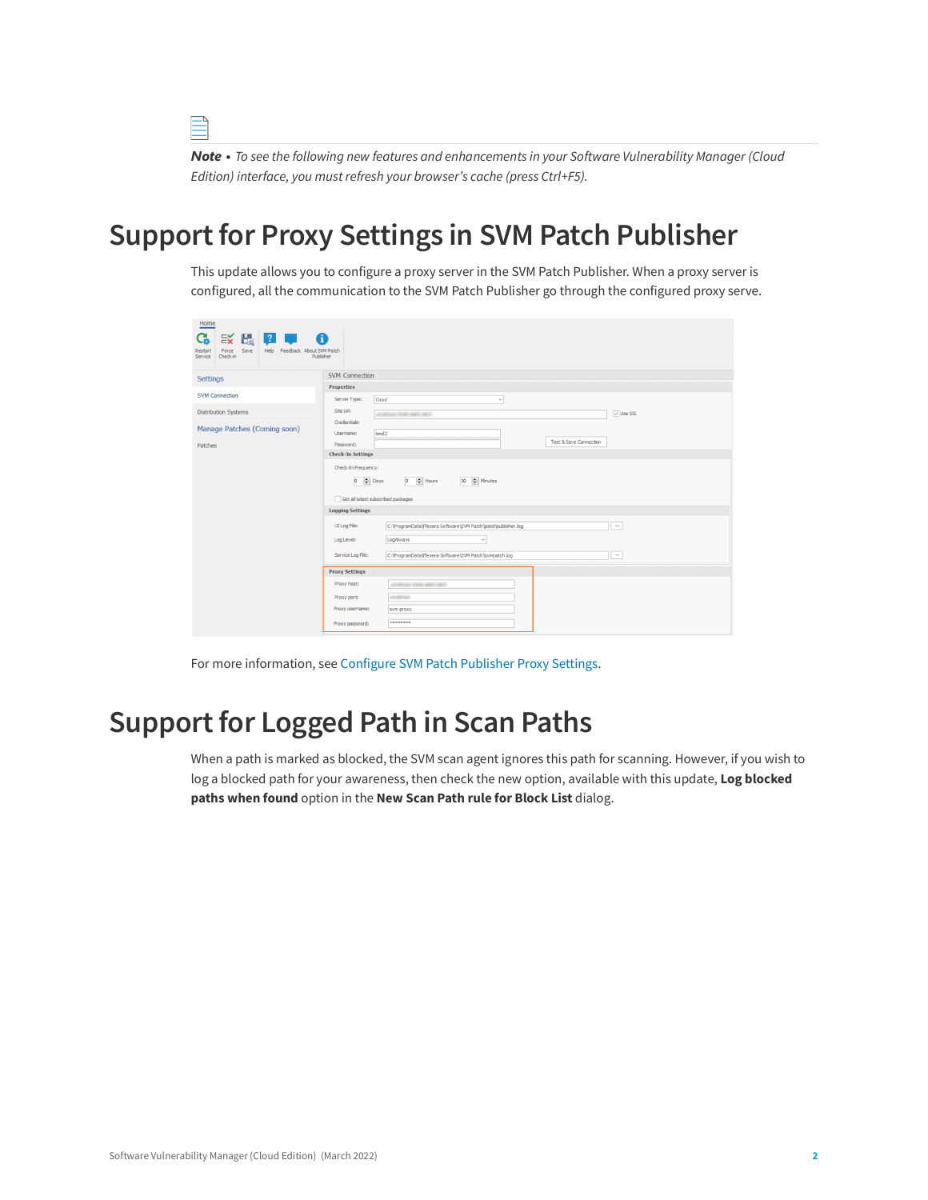*Note • To see the following new features and enhancements in your Software Vulnerability Manager (Cloud Edition) interface, you must refresh your browser's cache (press Ctrl+F5).*

#### <span id="page-1-0"></span>**Support for Proxy Settings in SVM Patch Publisher**

This update allows you to configure a proxy server in the SVM Patch Publisher. When a proxy server is configured, all the communication to the SVM Patch Publisher go through the configured proxy serve.

| Home                                                                                  |                                                                                           |  |  |  |  |  |
|---------------------------------------------------------------------------------------|-------------------------------------------------------------------------------------------|--|--|--|--|--|
| $\approx$ $\frac{1}{2}$ $\frac{1}{2}$<br>G.<br>6<br><b>Service Service</b><br>Save    |                                                                                           |  |  |  |  |  |
| Help Feedback About SVM Patch<br>Force<br>Restart<br>Publisher<br>Check-in<br>Service |                                                                                           |  |  |  |  |  |
| Settings                                                                              | <b>SVM Connection</b>                                                                     |  |  |  |  |  |
|                                                                                       | <b>Properties</b>                                                                         |  |  |  |  |  |
| <b>SVM Connection</b>                                                                 | Server Type:<br>Cloud<br>$\scriptstyle\rm v$                                              |  |  |  |  |  |
| <b>Distribution Systems</b>                                                           | Site Url:<br>$\vee$ Use SSL<br>all detail state was again.                                |  |  |  |  |  |
|                                                                                       | Credentials:                                                                              |  |  |  |  |  |
| Manage Patches (Coming soon)                                                          | bmd2<br>Username:                                                                         |  |  |  |  |  |
| Patches                                                                               | <b>Test &amp; Save Connection</b><br>Password:                                            |  |  |  |  |  |
|                                                                                       | <b>Check-In Settings</b>                                                                  |  |  |  |  |  |
|                                                                                       | Check-In Frequency:                                                                       |  |  |  |  |  |
|                                                                                       | $0 \quad \Leftrightarrow$ Days<br>$0$ $\div$ Hours<br>10   Minutes                        |  |  |  |  |  |
|                                                                                       | Get all latest subscribed packages                                                        |  |  |  |  |  |
|                                                                                       | <b>Logging Settings</b>                                                                   |  |  |  |  |  |
|                                                                                       | C: \ProgramData\Flexera Software\SVM Patch\patchpublisher.log<br>UI Log File:<br>$\cdots$ |  |  |  |  |  |
|                                                                                       | LogAlways<br>Log Level:<br>$\;$                                                           |  |  |  |  |  |
|                                                                                       | C:\ProgramData\Flexera Software\SVM Patch\svmpatch.log<br>Service Log File:<br>$\cdots$   |  |  |  |  |  |
|                                                                                       | <b>Proxy Settings</b>                                                                     |  |  |  |  |  |
|                                                                                       | Proxy host:<br>AS REAL CORPORATION                                                        |  |  |  |  |  |
|                                                                                       | allowed and<br>Proxy port:                                                                |  |  |  |  |  |
|                                                                                       | Proxy username:<br>svm-proxy                                                              |  |  |  |  |  |
|                                                                                       | ********<br>Proxy password:                                                               |  |  |  |  |  |

For more information, see [Configure SVM Patch Publisher Proxy Settings.](https://docs.flexera.com/csi/Content/helplibrary/Configure_SVM_Patch_Publisher_Proxy_Settings.htm)

#### <span id="page-1-1"></span>**Support for Logged Path in Scan Paths**

When a path is marked as blocked, the SVM scan agent ignores this path for scanning. However, if you wish to log a blocked path for your awareness, then check the new option, available with this update, **Log blocked paths when found** option in the **New Scan Path rule for Block List** dialog.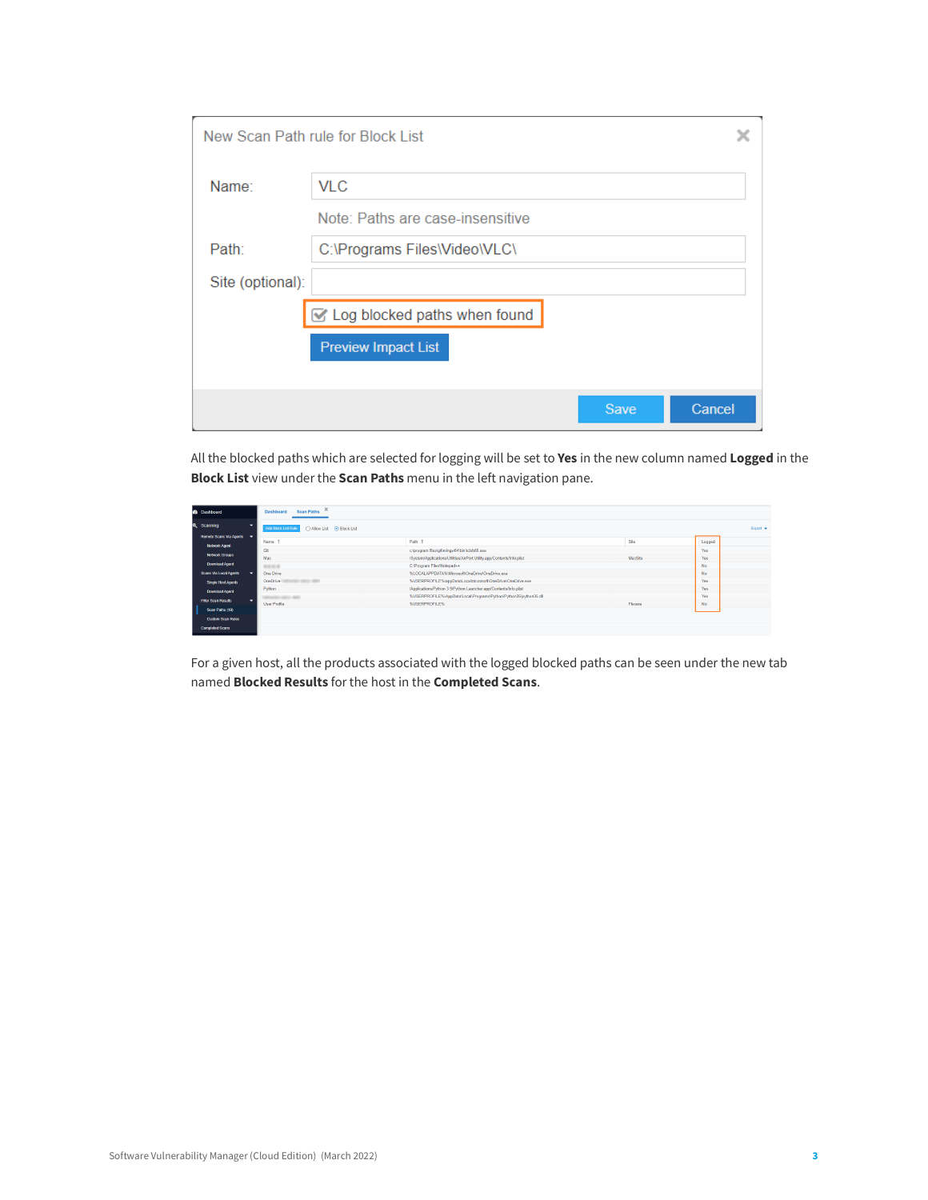|                  | New Scan Path rule for Block List |      |        |
|------------------|-----------------------------------|------|--------|
| Name:            | <b>VLC</b>                        |      |        |
|                  | Note: Paths are case-insensitive  |      |        |
| Path:            | C:\Programs Files\Video\VLC\      |      |        |
| Site (optional): |                                   |      |        |
|                  | Log blocked paths when found      |      |        |
|                  | <b>Preview Impact List</b>        |      |        |
|                  |                                   |      |        |
|                  |                                   | Save | Cancel |

All the blocked paths which are selected for logging will be set to **Yes** in the new column named **Logged** in the **Block List** view under the **Scan Paths** menu in the left navigation pane.

| <b>B</b> Dashboard         |   | $\times$<br>Scan Paths<br>Dashboard              |                                                                        |         |           |           |
|----------------------------|---|--------------------------------------------------|------------------------------------------------------------------------|---------|-----------|-----------|
| Q Scanning                 | ۰ | ○ Allow List ● Block List<br>Add Block List Rule |                                                                        |         |           | $Event -$ |
| Remote Scans Via Agents -  |   |                                                  |                                                                        |         |           |           |
| <b>Network Agent</b>       |   | Name                                             | Path 1                                                                 | Site    | Logged    |           |
|                            |   | Git                                              | c/program files/git/mingw64\bin/tclsh86.exe                            |         | Yes.      |           |
| <b>Network Groups</b>      |   | Mac                                              | /System/Applications/Utilities/AirPort Utility.app/Contents/Info.plist | MacSite | Yes       |           |
| Download Agent             |   | 101314140                                        | C:\Program Files\Notepad++                                             |         | <b>No</b> |           |
| Scans Via Local Agents     |   | One Drive                                        | %LOCALAPPDATA%/Microsoft/OneDrive/OneDrive.exe                         |         | No.       |           |
| Single Host Agents         |   | <b>OneDrive</b><br><b>SEED ART</b>               | %USERPROFILE%/appData/Local/microsoft/OneDrive/OneDrive.exe            |         | Yes       |           |
| Download Agent             |   | Python                                           | /Applications/Python 3.9/Python Launcher.app/Contents/Info.plist       |         | Yes       |           |
|                            |   | <b>CASE AREA</b>                                 | %USERPROFILE%/AppData\Local/Programs\Python\Python35\python35.dll      |         | Yes       |           |
| <b>Filter Scan Results</b> |   | <b>User Profile</b>                              | <b><i>NUSERPROFILEN</i></b>                                            | Flexera | <b>No</b> |           |
| Scan Paths (10)            |   |                                                  |                                                                        |         |           |           |
| <b>Custom Scan Rules</b>   |   |                                                  |                                                                        |         |           |           |
| <b>Completed Scars</b>     |   |                                                  |                                                                        |         |           |           |
|                            |   |                                                  |                                                                        |         |           |           |

For a given host, all the products associated with the logged blocked paths can be seen under the new tab named **Blocked Results** for the host in the **Completed Scans**.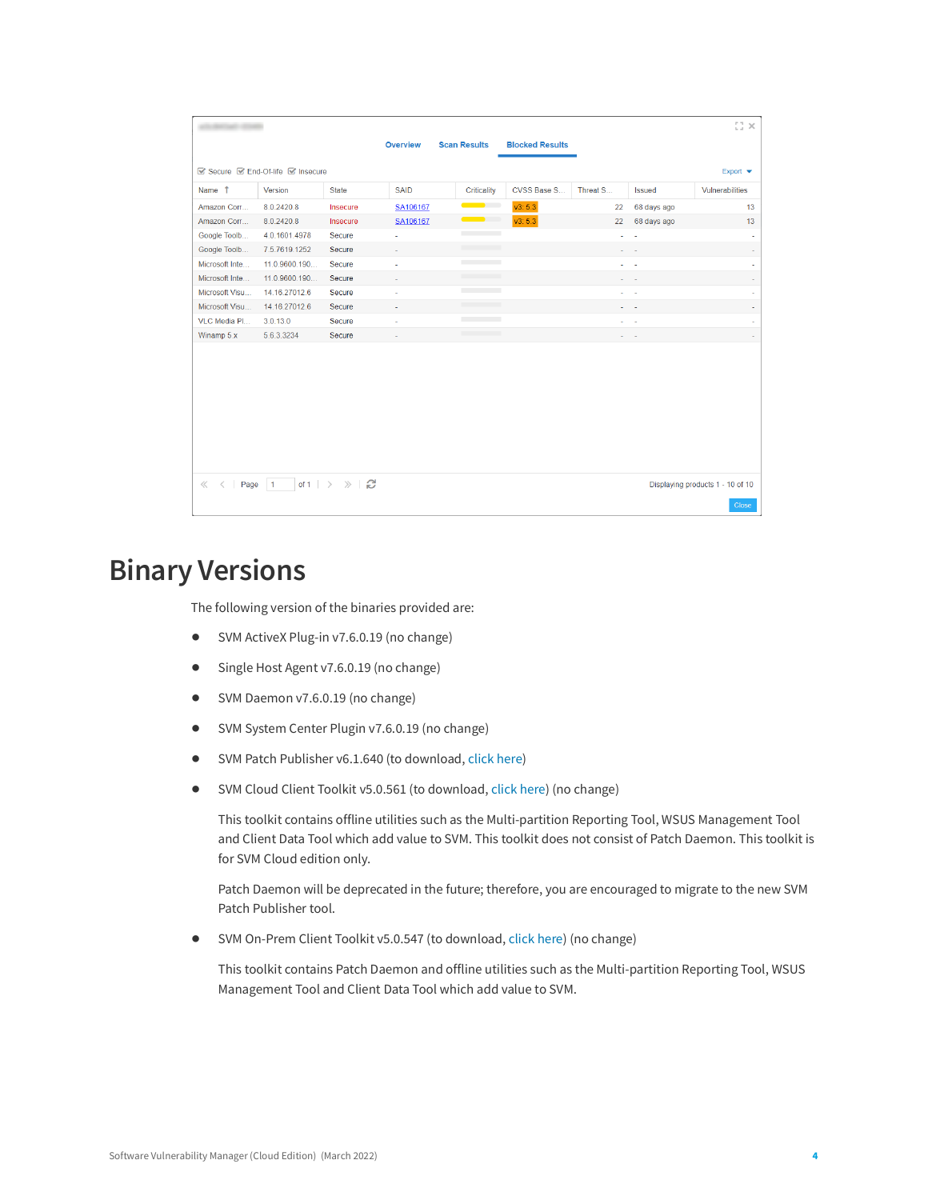|                       |                                                |                                    |             |                          |                        |          |                          | $\times$ 13                      |
|-----------------------|------------------------------------------------|------------------------------------|-------------|--------------------------|------------------------|----------|--------------------------|----------------------------------|
|                       |                                                |                                    | Overview    | <b>Scan Results</b>      | <b>Blocked Results</b> |          |                          |                                  |
|                       | Secure <b>Secure</b> End-Of-life <b>Secure</b> |                                    |             |                          |                        |          |                          | Export $\blacktriangleright$     |
| Name 1                | Version                                        | <b>State</b>                       | <b>SAID</b> | Criticality              | CVSS Base S            | Threat S | <b>Issued</b>            | Vulnerabilities                  |
| Amazon Corr           | 8.0.2420.8                                     | Insecure                           | SA106167    | $\overline{\phantom{a}}$ | v3: 5.3                | 22       | 68 days ago              | 13                               |
| Amazon Corr           | 8.0.2420.8                                     | Insecure                           | SA106167    | $\sim$                   | v3: 5.3                | 22       | 68 days ago              | 13                               |
| Google Toolb          | 4.0.1601.4978                                  | Secure                             | ÷           | <b>Contract Contract</b> |                        | Ĭ.       | $\overline{\phantom{a}}$ |                                  |
| Google Toolb          | 7.5.7619.1252                                  | Secure                             | ×.          |                          |                        | ÷.       | $\overline{\phantom{a}}$ | ٠                                |
| Microsoft Inte        | 11.0.9600.190                                  | Secure                             | ÷.          | <b>Contract Contract</b> |                        |          | $\omega_{\rm{max}}$      | ä,                               |
| Microsoft Inte        | 11.0.9600.190                                  | Secure                             |             |                          |                        |          |                          | ä,                               |
| Microsoft Visu        | 14.16.27012.6                                  | Secure                             | ÷           | <b>Contract Contract</b> |                        | ×.       | - 4                      |                                  |
| Microsoft Visu        | 14.16.27012.6                                  | Secure                             | ٠           | <b>The Common</b>        |                        |          | <b>All Andre</b>         | ÷                                |
| VLC Media PI          | 3.0.13.0                                       | Secure                             | $\sim$      | <b>Contract Contract</b> |                        | ٠        | ٠.                       |                                  |
| Winamp 5.x            | 5.6.3.3234                                     | Secure                             |             |                          |                        |          |                          |                                  |
|                       |                                                |                                    |             |                          |                        |          |                          |                                  |
|                       |                                                |                                    |             |                          |                        |          |                          |                                  |
|                       |                                                |                                    |             |                          |                        |          |                          |                                  |
|                       |                                                |                                    |             |                          |                        |          |                          |                                  |
|                       |                                                |                                    |             |                          |                        |          |                          |                                  |
|                       |                                                |                                    |             |                          |                        |          |                          |                                  |
|                       |                                                |                                    |             |                          |                        |          |                          |                                  |
|                       |                                                |                                    |             |                          |                        |          |                          |                                  |
|                       |                                                |                                    |             |                          |                        |          |                          |                                  |
| $\ll$ $\prec$<br>Page | $\vert$ 1                                      | of 1 $\rightarrow$ $\gg$ $\approx$ |             |                          |                        |          |                          | Displaying products 1 - 10 of 10 |
|                       |                                                |                                    |             |                          |                        |          |                          | <b>Close</b>                     |

#### <span id="page-3-0"></span>**Binary Versions**

The following version of the binaries provided are:

- **•** SVM ActiveX Plug-in v7.6.0.19 (no change)
- **•** Single Host Agent v7.6.0.19 (no change)
- **•** SVM Daemon v7.6.0.19 (no change)
- **•** SVM System Center Plugin v7.6.0.19 (no change)
- **•** SVM Patch Publisher v6.1.640 (to download, [click here\)](https://resources.flexera.com/tools/SVM/SVMPatchPublisher.msi)
- **•** SVM Cloud Client Toolkit v5.0.561 (to download, [click here\)](https://resources.flexera.com/tools/SVM/SVMClientToolkit.msi) (no change)

This toolkit contains offline utilities such as the Multi-partition Reporting Tool, WSUS Management Tool and Client Data Tool which add value to SVM. This toolkit does not consist of Patch Daemon. This toolkit is for SVM Cloud edition only.

Patch Daemon will be deprecated in the future; therefore, you are encouraged to migrate to the new SVM Patch Publisher tool.

**•** SVM On-Prem Client Toolkit v5.0.547 (to download, [click here\)](https://resources.flexera.com/tools/SVM/SVMClientToolkitInstall.msi) (no change)

This toolkit contains Patch Daemon and offline utilities such as the Multi-partition Reporting Tool, WSUS Management Tool and Client Data Tool which add value to SVM.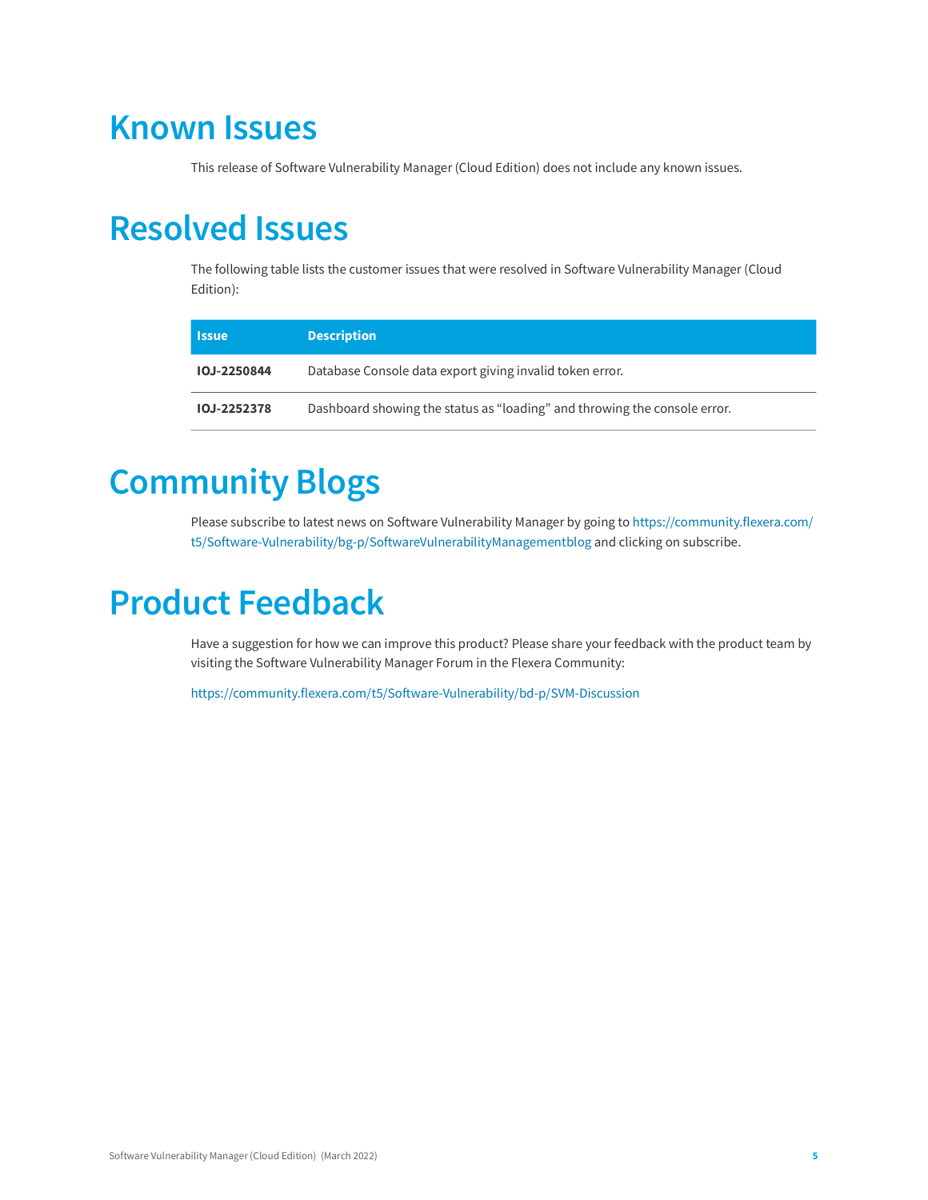### <span id="page-4-0"></span>**Known Issues**

This release of Software Vulnerability Manager (Cloud Edition) does not include any known issues.

### <span id="page-4-1"></span>**Resolved Issues**

The following table lists the customer issues that were resolved in Software Vulnerability Manager (Cloud Edition):

| 'Issue             | <b>Description</b>                                                        |
|--------------------|---------------------------------------------------------------------------|
| <b>IOJ-2250844</b> | Database Console data export giving invalid token error.                  |
| <b>IOJ-2252378</b> | Dashboard showing the status as "loading" and throwing the console error. |

# <span id="page-4-2"></span>**Community Blogs**

Please subscribe to latest news on Software Vulnerability Manager by going to [https://community.flexera.com/](https://community.flexera.com/t5/Software-Vulnerability/bg-p/SoftwareVulnerabilityManagementblog) [t5/Software-Vulnerability/bg-p/SoftwareVulnerabilityManagementblog](https://community.flexera.com/t5/Software-Vulnerability/bg-p/SoftwareVulnerabilityManagementblog) and clicking on subscribe.

## <span id="page-4-3"></span>**Product Feedback**

Have a suggestion for how we can improve this product? Please share your feedback with the product team by visiting the Software Vulnerability Manager Forum in the Flexera Community:

<https://community.flexera.com/t5/Software-Vulnerability/bd-p/SVM-Discussion>